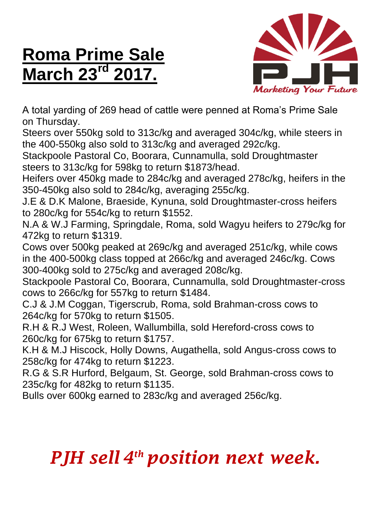## **Roma Prime Sale March 23<sup>rd</sup> 2017.**



A total yarding of 269 head of cattle were penned at Roma's Prime Sale on Thursday.

Steers over 550kg sold to 313c/kg and averaged 304c/kg, while steers in the 400-550kg also sold to 313c/kg and averaged 292c/kg.

Stackpoole Pastoral Co, Boorara, Cunnamulla, sold Droughtmaster steers to 313c/kg for 598kg to return \$1873/head.

Heifers over 450kg made to 284c/kg and averaged 278c/kg, heifers in the 350-450kg also sold to 284c/kg, averaging 255c/kg.

J.E & D.K Malone, Braeside, Kynuna, sold Droughtmaster-cross heifers to 280c/kg for 554c/kg to return \$1552.

N.A & W.J Farming, Springdale, Roma, sold Wagyu heifers to 279c/kg for 472kg to return \$1319.

Cows over 500kg peaked at 269c/kg and averaged 251c/kg, while cows in the 400-500kg class topped at 266c/kg and averaged 246c/kg. Cows 300-400kg sold to 275c/kg and averaged 208c/kg.

Stackpoole Pastoral Co, Boorara, Cunnamulla, sold Droughtmaster-cross cows to 266c/kg for 557kg to return \$1484.

C.J & J.M Coggan, Tigerscrub, Roma, sold Brahman-cross cows to 264c/kg for 570kg to return \$1505.

R.H & R.J West, Roleen, Wallumbilla, sold Hereford-cross cows to 260c/kg for 675kg to return \$1757.

K.H & M.J Hiscock, Holly Downs, Augathella, sold Angus-cross cows to 258c/kg for 474kg to return \$1223.

R.G & S.R Hurford, Belgaum, St. George, sold Brahman-cross cows to 235c/kg for 482kg to return \$1135.

Bulls over 600kg earned to 283c/kg and averaged 256c/kg.

## *PJH sell 4 th position next week.*